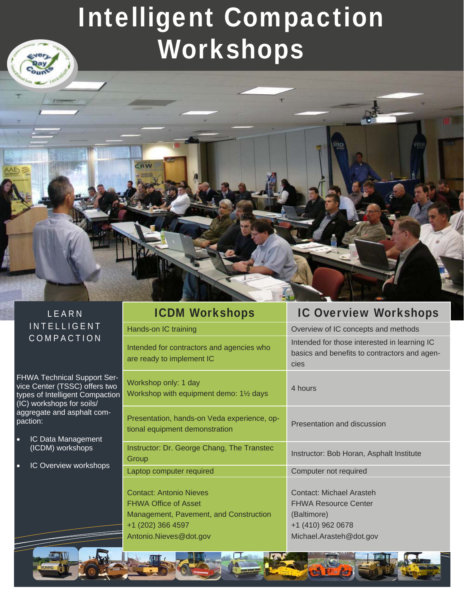# Intelligent Compaction Workshops

### LEARN INTELLIGENT COMPACTION

**CRW** 

a little

FHWA Technical Support Service Center (TSSC) offers two types of Intelligent Compaction (IC) workshops for soils/ aggregate and asphalt compaction:

- IC Data Management (ICDM) workshops
- IC Overview workshops

| <b>ICDM Workshops</b>                                                                                                                                  | <b>IC Overview Workshops</b>                                                                                                  |
|--------------------------------------------------------------------------------------------------------------------------------------------------------|-------------------------------------------------------------------------------------------------------------------------------|
| Hands-on IC training                                                                                                                                   | Overview of IC concepts and methods                                                                                           |
| Intended for contractors and agencies who<br>are ready to implement IC                                                                                 | Intended for those interested in learning IC<br>basics and benefits to contractors and agen-<br>cies                          |
| Workshop only: 1 day<br>Workshop with equipment demo: 11/2 days                                                                                        | 4 hours                                                                                                                       |
| Presentation, hands-on Veda experience, op-<br>tional equipment demonstration                                                                          | Presentation and discussion                                                                                                   |
| Instructor: Dr. George Chang, The Transtec<br>Group                                                                                                    | Instructor: Bob Horan, Asphalt Institute                                                                                      |
| Laptop computer required                                                                                                                               | Computer not required                                                                                                         |
| <b>Contact: Antonio Nieves</b><br><b>FHWA Office of Asset</b><br>Management, Pavement, and Construction<br>+1 (202) 366 4597<br>Antonio.Nieves@dot.gov | <b>Contact: Michael Arasteh</b><br><b>FHWA Resource Center</b><br>(Baltimore)<br>+1 (410) 962 0678<br>Michael.Arasteh@dot.gov |

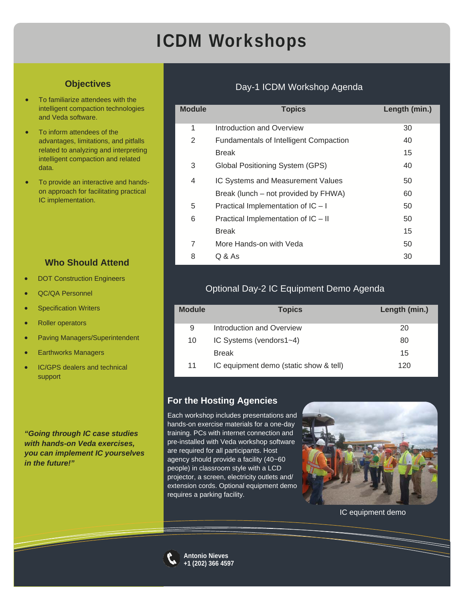# ICDM Workshops

### **Objectives**

- To familiarize attendees with the intelligent compaction technologies and Veda software.
- To inform attendees of the advantages, limitations, and pitfalls related to analyzing and interpreting intelligent compaction and related data.
- To provide an interactive and handson approach for facilitating practical IC implementation.

### **Who Should Attend**

- DOT Construction Engineers
- QC/QA Personnel
- Specification Writers
- Roller operators
- Paving Managers/Superintendent
- Earthworks Managers
- IC/GPS dealers and technical support

*"Going through IC case studies with hands-on Veda exercises, you can implement IC yourselves in the future!"* 

### Day-1 ICDM Workshop Agenda

| <b>Module</b> | <b>Topics</b>                                 | Length (min.) |
|---------------|-----------------------------------------------|---------------|
| 1             | Introduction and Overview                     | 30            |
| 2             | <b>Fundamentals of Intelligent Compaction</b> | 40            |
|               | <b>Break</b>                                  | 15            |
| 3             | Global Positioning System (GPS)               | 40            |
| 4             | IC Systems and Measurement Values             | 50            |
|               | Break (lunch – not provided by FHWA)          | 60            |
| 5             | Practical Implementation of IC - I            | 50            |
| 6             | Practical Implementation of IC - II           | 50            |
|               | <b>Break</b>                                  | 15            |
| 7             | More Hands-on with Veda                       | 50            |
| 8             | Q & As                                        | 30            |

### Optional Day-2 IC Equipment Demo Agenda

| <b>Module</b> | <b>Topics</b>                          | Length (min.) |
|---------------|----------------------------------------|---------------|
| 9             | Introduction and Overview              | 20            |
| 10            | IC Systems (vendors1~4)                | 80            |
|               | <b>Break</b>                           | 15            |
| 11            | IC equipment demo (static show & tell) | 120           |

#### **For the Hosting Agencies**

Each workshop includes presentations and hands-on exercise materials for a one-day training. PCs with internet connection and pre-installed with Veda workshop software are required for all participants. Host agency should provide a facility (40~60 people) in classroom style with a LCD projector, a screen, electricity outlets and/ extension cords. Optional equipment demo requires a parking facility.



IC equipment demo



**Antonio Nieves +1 (202) 366 4597**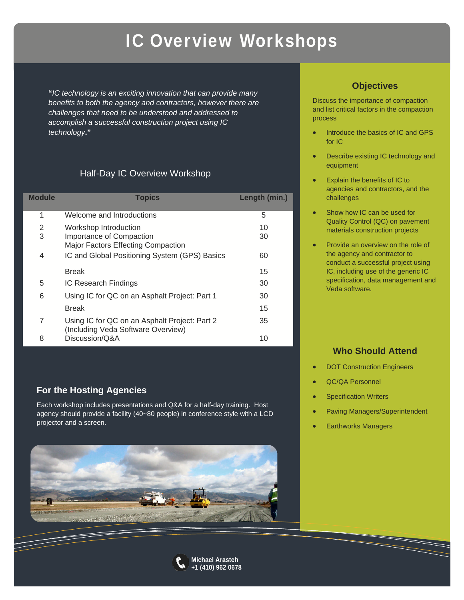# IC Overview Workshops

**"***IC technology is an exciting innovation that can provide many benefits to both the agency and contractors, however there are challenges that need to be understood and addressed to accomplish a successful construction project using IC technology***."**

### Half-Day IC Overview Workshop

| <b>Module</b> | <b>Topics</b>                                                                       | Length (min.) |
|---------------|-------------------------------------------------------------------------------------|---------------|
| 1             | Welcome and Introductions                                                           | 5             |
| 2             | Workshop Introduction                                                               | 10            |
| 3             | Importance of Compaction<br><b>Major Factors Effecting Compaction</b>               | 30            |
| 4             | IC and Global Positioning System (GPS) Basics                                       | 60            |
|               | <b>Break</b>                                                                        | 15            |
| 5             | IC Research Findings                                                                | 30            |
| 6             | Using IC for QC on an Asphalt Project: Part 1                                       | 30            |
|               | <b>Break</b>                                                                        | 15            |
| 7             | Using IC for QC on an Asphalt Project: Part 2<br>(Including Veda Software Overview) | 35            |
| 8             | Discussion/Q&A                                                                      | 10            |

### **For the Hosting Agencies**

Each workshop includes presentations and Q&A for a half-day training. Host agency should provide a facility (40~80 people) in conference style with a LCD projector and a screen.





Discuss the importance of compaction and list critical factors in the compaction process

- Introduce the basics of IC and GPS for IC
- Describe existing IC technology and equipment
- Explain the benefits of IC to agencies and contractors, and the challenges
- Show how IC can be used for Quality Control (QC) on pavement materials construction projects
- Provide an overview on the role of the agency and contractor to conduct a successful project using IC, including use of the generic IC specification, data management and Veda software.

### **Who Should Attend**

- DOT Construction Engineers
- QC/QA Personnel
- Specification Writers
- Paving Managers/Superintendent
- Earthworks Managers